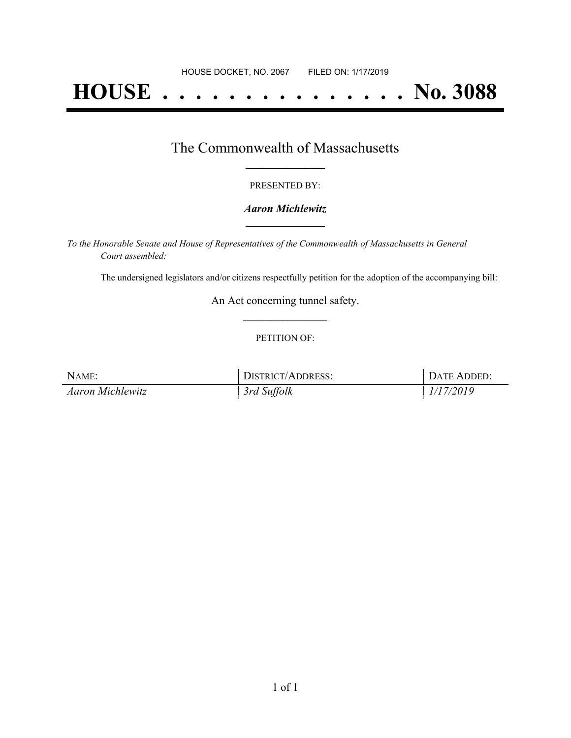# **HOUSE . . . . . . . . . . . . . . . No. 3088**

## The Commonwealth of Massachusetts **\_\_\_\_\_\_\_\_\_\_\_\_\_\_\_\_\_**

#### PRESENTED BY:

#### *Aaron Michlewitz* **\_\_\_\_\_\_\_\_\_\_\_\_\_\_\_\_\_**

*To the Honorable Senate and House of Representatives of the Commonwealth of Massachusetts in General Court assembled:*

The undersigned legislators and/or citizens respectfully petition for the adoption of the accompanying bill:

An Act concerning tunnel safety. **\_\_\_\_\_\_\_\_\_\_\_\_\_\_\_**

#### PETITION OF:

| NAME:            | DISTRICT/ADDRESS: | DATE ADDED: |
|------------------|-------------------|-------------|
| Aaron Michlewitz | 3rd Suffolk       | 1/17/2019   |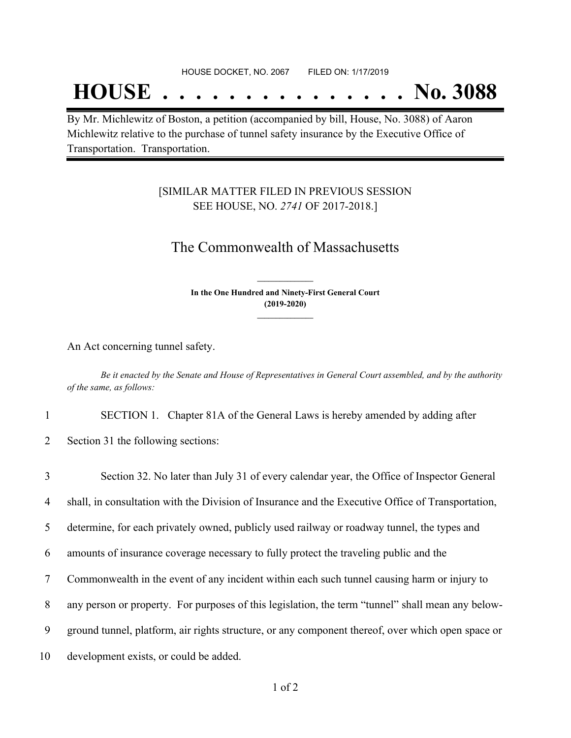## **HOUSE . . . . . . . . . . . . . . . No. 3088**

By Mr. Michlewitz of Boston, a petition (accompanied by bill, House, No. 3088) of Aaron Michlewitz relative to the purchase of tunnel safety insurance by the Executive Office of Transportation. Transportation.

### [SIMILAR MATTER FILED IN PREVIOUS SESSION SEE HOUSE, NO. *2741* OF 2017-2018.]

## The Commonwealth of Massachusetts

**In the One Hundred and Ninety-First General Court (2019-2020) \_\_\_\_\_\_\_\_\_\_\_\_\_\_\_**

**\_\_\_\_\_\_\_\_\_\_\_\_\_\_\_**

An Act concerning tunnel safety.

Be it enacted by the Senate and House of Representatives in General Court assembled, and by the authority *of the same, as follows:*

1 SECTION 1. Chapter 81A of the General Laws is hereby amended by adding after

2 Section 31 the following sections:

 Section 32. No later than July 31 of every calendar year, the Office of Inspector General shall, in consultation with the Division of Insurance and the Executive Office of Transportation, determine, for each privately owned, publicly used railway or roadway tunnel, the types and amounts of insurance coverage necessary to fully protect the traveling public and the Commonwealth in the event of any incident within each such tunnel causing harm or injury to any person or property. For purposes of this legislation, the term "tunnel" shall mean any below- ground tunnel, platform, air rights structure, or any component thereof, over which open space or development exists, or could be added.